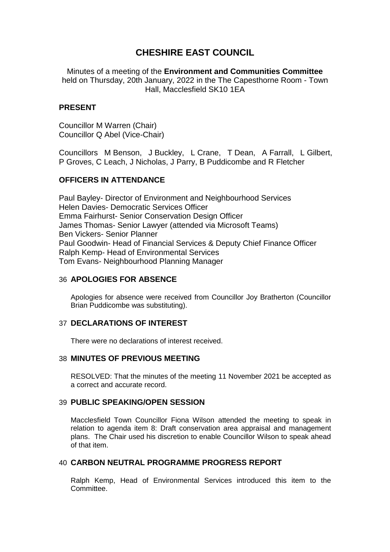# **CHESHIRE EAST COUNCIL**

Minutes of a meeting of the **Environment and Communities Committee** held on Thursday, 20th January, 2022 in the The Capesthorne Room - Town Hall, Macclesfield SK10 1EA

# **PRESENT**

Councillor M Warren (Chair) Councillor Q Abel (Vice-Chair)

Councillors M Benson, J Buckley, L Crane, T Dean, A Farrall, L Gilbert, P Groves, C Leach, J Nicholas, J Parry, B Puddicombe and R Fletcher

# **OFFICERS IN ATTENDANCE**

Paul Bayley- Director of Environment and Neighbourhood Services Helen Davies- Democratic Services Officer Emma Fairhurst- Senior Conservation Design Officer James Thomas- Senior Lawyer (attended via Microsoft Teams) Ben Vickers- Senior Planner Paul Goodwin- Head of Financial Services & Deputy Chief Finance Officer Ralph Kemp- Head of Environmental Services Tom Evans- Neighbourhood Planning Manager

# 36 **APOLOGIES FOR ABSENCE**

Apologies for absence were received from Councillor Joy Bratherton (Councillor Brian Puddicombe was substituting).

### 37 **DECLARATIONS OF INTEREST**

There were no declarations of interest received.

## 38 **MINUTES OF PREVIOUS MEETING**

RESOLVED: That the minutes of the meeting 11 November 2021 be accepted as a correct and accurate record.

### 39 **PUBLIC SPEAKING/OPEN SESSION**

Macclesfield Town Councillor Fiona Wilson attended the meeting to speak in relation to agenda item 8: Draft conservation area appraisal and management plans. The Chair used his discretion to enable Councillor Wilson to speak ahead of that item.

# 40 **CARBON NEUTRAL PROGRAMME PROGRESS REPORT**

Ralph Kemp, Head of Environmental Services introduced this item to the **Committee.**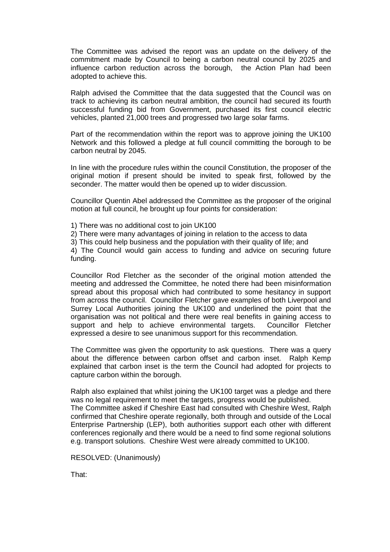The Committee was advised the report was an update on the delivery of the commitment made by Council to being a carbon neutral council by 2025 and influence carbon reduction across the borough, the Action Plan had been adopted to achieve this.

Ralph advised the Committee that the data suggested that the Council was on track to achieving its carbon neutral ambition, the council had secured its fourth successful funding bid from Government, purchased its first council electric vehicles, planted 21,000 trees and progressed two large solar farms.

Part of the recommendation within the report was to approve joining the UK100 Network and this followed a pledge at full council committing the borough to be carbon neutral by 2045.

In line with the procedure rules within the council Constitution, the proposer of the original motion if present should be invited to speak first, followed by the seconder. The matter would then be opened up to wider discussion.

Councillor Quentin Abel addressed the Committee as the proposer of the original motion at full council, he brought up four points for consideration:

- 1) There was no additional cost to join UK100
- 2) There were many advantages of joining in relation to the access to data
- 3) This could help business and the population with their quality of life; and

4) The Council would gain access to funding and advice on securing future funding.

Councillor Rod Fletcher as the seconder of the original motion attended the meeting and addressed the Committee, he noted there had been misinformation spread about this proposal which had contributed to some hesitancy in support from across the council. Councillor Fletcher gave examples of both Liverpool and Surrey Local Authorities joining the UK100 and underlined the point that the organisation was not political and there were real benefits in gaining access to support and help to achieve environmental targets. Councillor Fletcher expressed a desire to see unanimous support for this recommendation.

The Committee was given the opportunity to ask questions. There was a query about the difference between carbon offset and carbon inset. Ralph Kemp explained that carbon inset is the term the Council had adopted for projects to capture carbon within the borough.

Ralph also explained that whilst joining the UK100 target was a pledge and there was no legal requirement to meet the targets, progress would be published. The Committee asked if Cheshire East had consulted with Cheshire West, Ralph confirmed that Cheshire operate regionally, both through and outside of the Local Enterprise Partnership (LEP), both authorities support each other with different conferences regionally and there would be a need to find some regional solutions e.g. transport solutions. Cheshire West were already committed to UK100.

RESOLVED: (Unanimously)

That: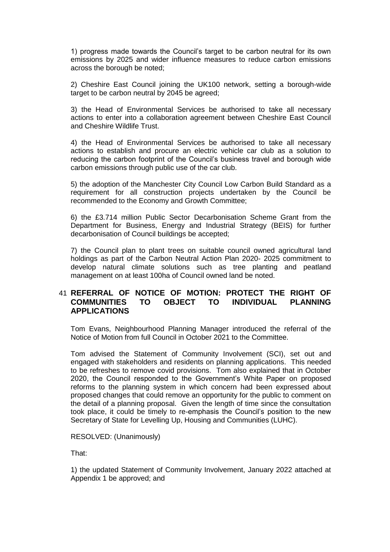1) progress made towards the Council's target to be carbon neutral for its own emissions by 2025 and wider influence measures to reduce carbon emissions across the borough be noted;

2) Cheshire East Council joining the UK100 network, setting a borough-wide target to be carbon neutral by 2045 be agreed;

3) the Head of Environmental Services be authorised to take all necessary actions to enter into a collaboration agreement between Cheshire East Council and Cheshire Wildlife Trust.

4) the Head of Environmental Services be authorised to take all necessary actions to establish and procure an electric vehicle car club as a solution to reducing the carbon footprint of the Council's business travel and borough wide carbon emissions through public use of the car club.

5) the adoption of the Manchester City Council Low Carbon Build Standard as a requirement for all construction projects undertaken by the Council be recommended to the Economy and Growth Committee;

6) the £3.714 million Public Sector Decarbonisation Scheme Grant from the Department for Business, Energy and Industrial Strategy (BEIS) for further decarbonisation of Council buildings be accepted;

7) the Council plan to plant trees on suitable council owned agricultural land holdings as part of the Carbon Neutral Action Plan 2020- 2025 commitment to develop natural climate solutions such as tree planting and peatland management on at least 100ha of Council owned land be noted.

# 41 **REFERRAL OF NOTICE OF MOTION: PROTECT THE RIGHT OF COMMUNITIES TO OBJECT TO INDIVIDUAL PLANNING APPLICATIONS**

Tom Evans, Neighbourhood Planning Manager introduced the referral of the Notice of Motion from full Council in October 2021 to the Committee.

Tom advised the Statement of Community Involvement (SCI), set out and engaged with stakeholders and residents on planning applications. This needed to be refreshes to remove covid provisions. Tom also explained that in October 2020, the Council responded to the Government's White Paper on proposed reforms to the planning system in which concern had been expressed about proposed changes that could remove an opportunity for the public to comment on the detail of a planning proposal. Given the length of time since the consultation took place, it could be timely to re-emphasis the Council's position to the new Secretary of State for Levelling Up, Housing and Communities (LUHC).

#### RESOLVED: (Unanimously)

That:

1) the updated Statement of Community Involvement, January 2022 attached at Appendix 1 be approved; and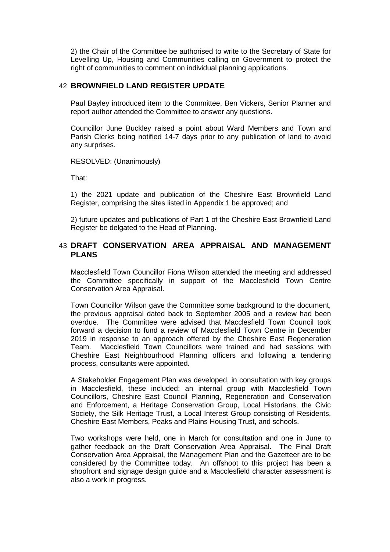2) the Chair of the Committee be authorised to write to the Secretary of State for Levelling Up, Housing and Communities calling on Government to protect the right of communities to comment on individual planning applications.

### 42 **BROWNFIELD LAND REGISTER UPDATE**

Paul Bayley introduced item to the Committee, Ben Vickers, Senior Planner and report author attended the Committee to answer any questions.

Councillor June Buckley raised a point about Ward Members and Town and Parish Clerks being notified 14-7 days prior to any publication of land to avoid any surprises.

RESOLVED: (Unanimously)

That:

1) the 2021 update and publication of the Cheshire East Brownfield Land Register, comprising the sites listed in Appendix 1 be approved; and

2) future updates and publications of Part 1 of the Cheshire East Brownfield Land Register be delgated to the Head of Planning.

# 43 **DRAFT CONSERVATION AREA APPRAISAL AND MANAGEMENT PLANS**

Macclesfield Town Councillor Fiona Wilson attended the meeting and addressed the Committee specifically in support of the Macclesfield Town Centre Conservation Area Appraisal.

Town Councillor Wilson gave the Committee some background to the document, the previous appraisal dated back to September 2005 and a review had been overdue. The Committee were advised that Macclesfield Town Council took forward a decision to fund a review of Macclesfield Town Centre in December 2019 in response to an approach offered by the Cheshire East Regeneration Team. Macclesfield Town Councillors were trained and had sessions with Cheshire East Neighbourhood Planning officers and following a tendering process, consultants were appointed.

A Stakeholder Engagement Plan was developed, in consultation with key groups in Macclesfield, these included: an internal group with Macclesfield Town Councillors, Cheshire East Council Planning, Regeneration and Conservation and Enforcement, a Heritage Conservation Group, Local Historians, the Civic Society, the Silk Heritage Trust, a Local Interest Group consisting of Residents, Cheshire East Members, Peaks and Plains Housing Trust, and schools.

Two workshops were held, one in March for consultation and one in June to gather feedback on the Draft Conservation Area Appraisal. The Final Draft Conservation Area Appraisal, the Management Plan and the Gazetteer are to be considered by the Committee today. An offshoot to this project has been a shopfront and signage design guide and a Macclesfield character assessment is also a work in progress.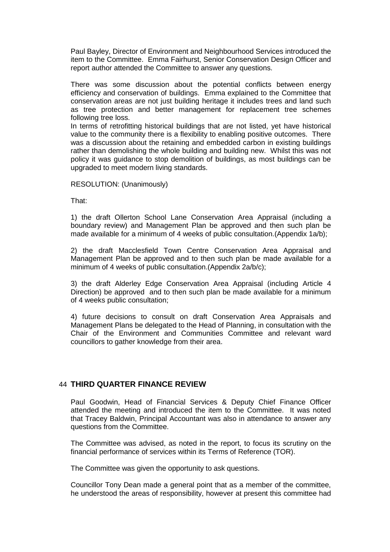Paul Bayley, Director of Environment and Neighbourhood Services introduced the item to the Committee. Emma Fairhurst, Senior Conservation Design Officer and report author attended the Committee to answer any questions.

There was some discussion about the potential conflicts between energy efficiency and conservation of buildings. Emma explained to the Committee that conservation areas are not just building heritage it includes trees and land such as tree protection and better management for replacement tree schemes following tree loss.

In terms of retrofitting historical buildings that are not listed, yet have historical value to the community there is a flexibility to enabling positive outcomes. There was a discussion about the retaining and embedded carbon in existing buildings rather than demolishing the whole building and building new. Whilst this was not policy it was guidance to stop demolition of buildings, as most buildings can be upgraded to meet modern living standards.

#### RESOLUTION: (Unanimously)

That:

1) the draft Ollerton School Lane Conservation Area Appraisal (including a boundary review) and Management Plan be approved and then such plan be made available for a minimum of 4 weeks of public consultation.(Appendix 1a/b);

2) the draft Macclesfield Town Centre Conservation Area Appraisal and Management Plan be approved and to then such plan be made available for a minimum of 4 weeks of public consultation.(Appendix 2a/b/c);

3) the draft Alderley Edge Conservation Area Appraisal (including Article 4 Direction) be approved and to then such plan be made available for a minimum of 4 weeks public consultation;

4) future decisions to consult on draft Conservation Area Appraisals and Management Plans be delegated to the Head of Planning, in consultation with the Chair of the Environment and Communities Committee and relevant ward councillors to gather knowledge from their area.

# 44 **THIRD QUARTER FINANCE REVIEW**

Paul Goodwin, Head of Financial Services & Deputy Chief Finance Officer attended the meeting and introduced the item to the Committee. It was noted that Tracey Baldwin, Principal Accountant was also in attendance to answer any questions from the Committee.

The Committee was advised, as noted in the report, to focus its scrutiny on the financial performance of services within its Terms of Reference (TOR).

The Committee was given the opportunity to ask questions.

Councillor Tony Dean made a general point that as a member of the committee, he understood the areas of responsibility, however at present this committee had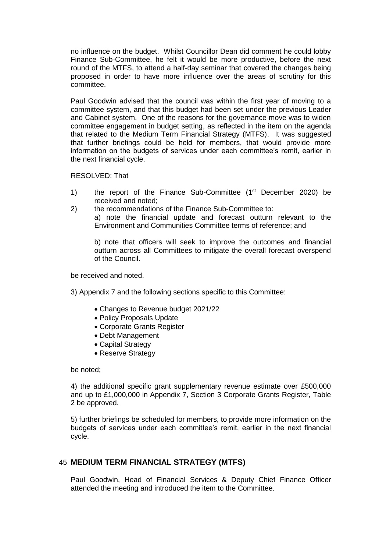no influence on the budget. Whilst Councillor Dean did comment he could lobby Finance Sub-Committee, he felt it would be more productive, before the next round of the MTFS, to attend a half-day seminar that covered the changes being proposed in order to have more influence over the areas of scrutiny for this committee.

Paul Goodwin advised that the council was within the first year of moving to a committee system, and that this budget had been set under the previous Leader and Cabinet system. One of the reasons for the governance move was to widen committee engagement in budget setting, as reflected in the item on the agenda that related to the Medium Term Financial Strategy (MTFS). It was suggested that further briefings could be held for members, that would provide more information on the budgets of services under each committee's remit, earlier in the next financial cycle.

RESOLVED: That

- 1) the report of the Finance Sub-Committee  $(1<sup>st</sup>$  December 2020) be received and noted;
- 2) the recommendations of the Finance Sub-Committee to:

a) note the financial update and forecast outturn relevant to the Environment and Communities Committee terms of reference; and

b) note that officers will seek to improve the outcomes and financial outturn across all Committees to mitigate the overall forecast overspend of the Council.

be received and noted.

3) Appendix 7 and the following sections specific to this Committee:

- Changes to Revenue budget 2021/22
- Policy Proposals Update
- Corporate Grants Register
- Debt Management
- Capital Strategy
- Reserve Strategy

be noted;

4) the additional specific grant supplementary revenue estimate over £500,000 and up to £1,000,000 in Appendix 7, Section 3 Corporate Grants Register, Table 2 be approved.

5) further briefings be scheduled for members, to provide more information on the budgets of services under each committee's remit, earlier in the next financial cycle.

## 45 **MEDIUM TERM FINANCIAL STRATEGY (MTFS)**

Paul Goodwin, Head of Financial Services & Deputy Chief Finance Officer attended the meeting and introduced the item to the Committee.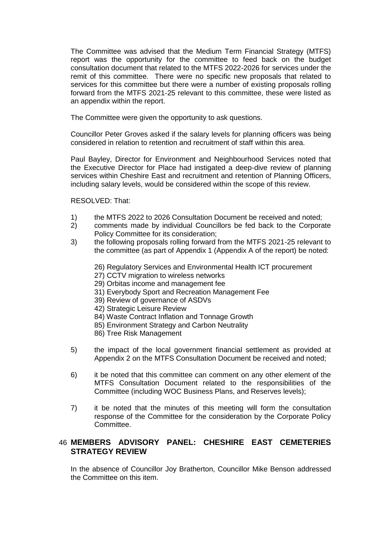The Committee was advised that the Medium Term Financial Strategy (MTFS) report was the opportunity for the committee to feed back on the budget consultation document that related to the MTFS 2022-2026 for services under the remit of this committee. There were no specific new proposals that related to services for this committee but there were a number of existing proposals rolling forward from the MTFS 2021-25 relevant to this committee, these were listed as an appendix within the report.

The Committee were given the opportunity to ask questions.

Councillor Peter Groves asked if the salary levels for planning officers was being considered in relation to retention and recruitment of staff within this area.

Paul Bayley, Director for Environment and Neighbourhood Services noted that the Executive Director for Place had instigated a deep-dive review of planning services within Cheshire East and recruitment and retention of Planning Officers, including salary levels, would be considered within the scope of this review.

RESOLVED: That:

- 1) the MTFS 2022 to 2026 Consultation Document be received and noted;
- 2) comments made by individual Councillors be fed back to the Corporate Policy Committee for its consideration;
- 3) the following proposals rolling forward from the MTFS 2021-25 relevant to the committee (as part of Appendix 1 (Appendix A of the report) be noted:
	- 26) Regulatory Services and Environmental Health ICT procurement
	- 27) CCTV migration to wireless networks
	- 29) Orbitas income and management fee
	- 31) Everybody Sport and Recreation Management Fee
	- 39) Review of governance of ASDVs
	- 42) Strategic Leisure Review
	- 84) Waste Contract Inflation and Tonnage Growth
	- 85) Environment Strategy and Carbon Neutrality
	- 86) Tree Risk Management
- 5) the impact of the local government financial settlement as provided at Appendix 2 on the MTFS Consultation Document be received and noted;
- 6) it be noted that this committee can comment on any other element of the MTFS Consultation Document related to the responsibilities of the Committee (including WOC Business Plans, and Reserves levels);
- 7) it be noted that the minutes of this meeting will form the consultation response of the Committee for the consideration by the Corporate Policy Committee.

# 46 **MEMBERS ADVISORY PANEL: CHESHIRE EAST CEMETERIES STRATEGY REVIEW**

In the absence of Councillor Joy Bratherton, Councillor Mike Benson addressed the Committee on this item.